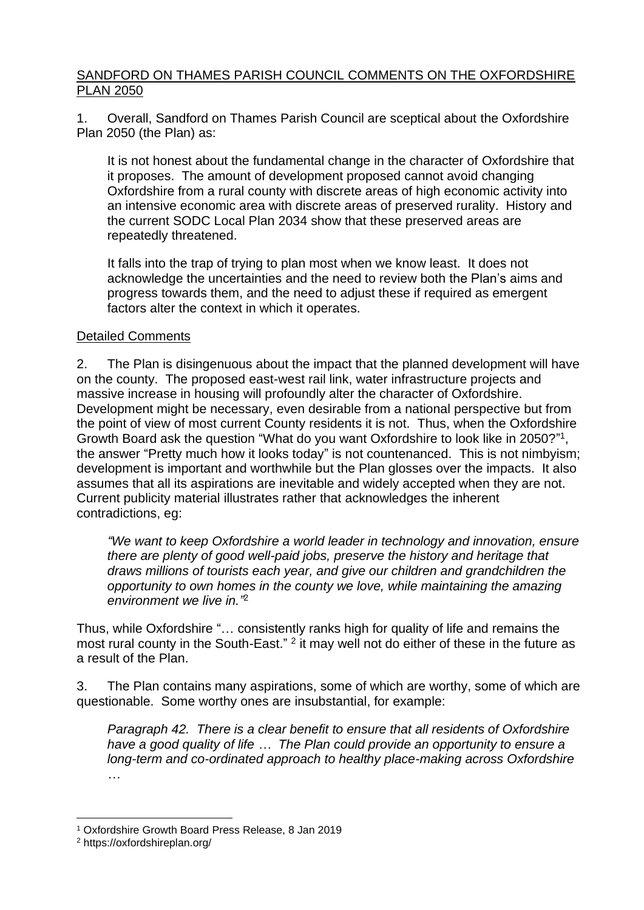## SANDFORD ON THAMES PARISH COUNCIL COMMENTS ON THE OXFORDSHIRE PLAN 2050

1. Overall, Sandford on Thames Parish Council are sceptical about the Oxfordshire Plan 2050 (the Plan) as:

It is not honest about the fundamental change in the character of Oxfordshire that it proposes. The amount of development proposed cannot avoid changing Oxfordshire from a rural county with discrete areas of high economic activity into an intensive economic area with discrete areas of preserved rurality. History and the current SODC Local Plan 2034 show that these preserved areas are repeatedly threatened.

It falls into the trap of trying to plan most when we know least. It does not acknowledge the uncertainties and the need to review both the Plan's aims and progress towards them, and the need to adjust these if required as emergent factors alter the context in which it operates.

## Detailed Comments

2. The Plan is disingenuous about the impact that the planned development will have on the county. The proposed east-west rail link, water infrastructure projects and massive increase in housing will profoundly alter the character of Oxfordshire. Development might be necessary, even desirable from a national perspective but from the point of view of most current County residents it is not. Thus, when the Oxfordshire Growth Board ask the question "What do you want Oxfordshire to look like in 2050?"<sup>1</sup>, the answer "Pretty much how it looks today" is not countenanced. This is not nimbyism; development is important and worthwhile but the Plan glosses over the impacts. It also assumes that all its aspirations are inevitable and widely accepted when they are not. Current publicity material illustrates rather that acknowledges the inherent contradictions, eg:

*"We want to keep Oxfordshire a world leader in technology and innovation, ensure there are plenty of good well-paid jobs, preserve the history and heritage that draws millions of tourists each year, and give our children and grandchildren the opportunity to own homes in the county we love, while maintaining the amazing environment we live in."* 2

Thus, while Oxfordshire "… consistently ranks high for quality of life and remains the most rural county in the South-East."  $2$  it may well not do either of these in the future as a result of the Plan.

3. The Plan contains many aspirations, some of which are worthy, some of which are questionable. Some worthy ones are insubstantial, for example:

*Paragraph 42. There is a clear benefit to ensure that all residents of Oxfordshire have a good quality of life … The Plan could provide an opportunity to ensure a long-term and co-ordinated approach to healthy place-making across Oxfordshire …*

<sup>1</sup> Oxfordshire Growth Board Press Release, 8 Jan 2019

<sup>2</sup> https://oxfordshireplan.org/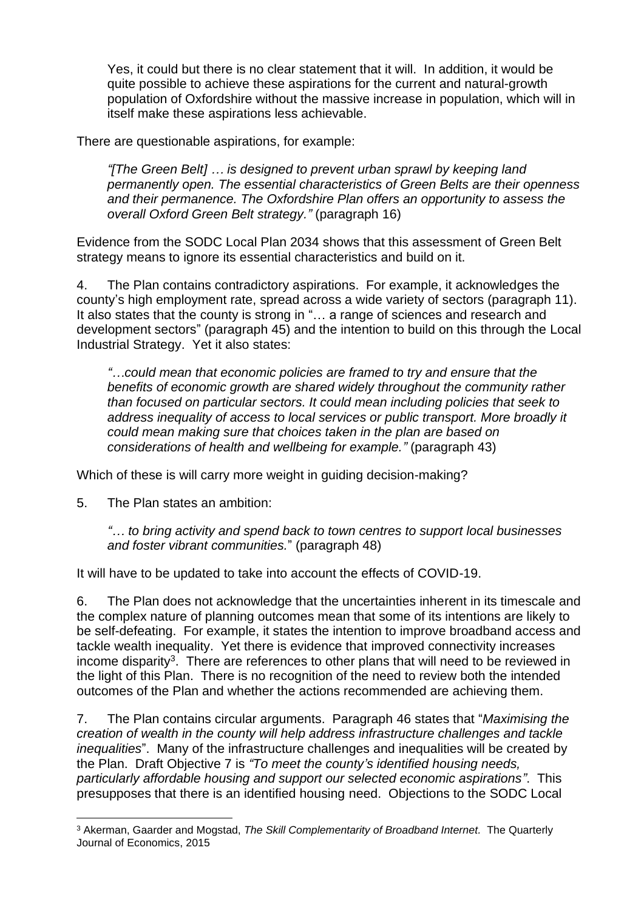Yes, it could but there is no clear statement that it will. In addition, it would be quite possible to achieve these aspirations for the current and natural-growth population of Oxfordshire without the massive increase in population, which will in itself make these aspirations less achievable.

There are questionable aspirations, for example:

*"[The Green Belt] … is designed to prevent urban sprawl by keeping land permanently open. The essential characteristics of Green Belts are their openness and their permanence. The Oxfordshire Plan offers an opportunity to assess the overall Oxford Green Belt strategy."* (paragraph 16)

Evidence from the SODC Local Plan 2034 shows that this assessment of Green Belt strategy means to ignore its essential characteristics and build on it.

4. The Plan contains contradictory aspirations. For example, it acknowledges the county's high employment rate, spread across a wide variety of sectors (paragraph 11). It also states that the county is strong in "… a range of sciences and research and development sectors" (paragraph 45) and the intention to build on this through the Local Industrial Strategy. Yet it also states:

*"…could mean that economic policies are framed to try and ensure that the benefits of economic growth are shared widely throughout the community rather than focused on particular sectors. It could mean including policies that seek to address inequality of access to local services or public transport. More broadly it could mean making sure that choices taken in the plan are based on considerations of health and wellbeing for example."* (paragraph 43)

Which of these is will carry more weight in guiding decision-making?

5. The Plan states an ambition:

*"… to bring activity and spend back to town centres to support local businesses and foster vibrant communities.*" (paragraph 48)

It will have to be updated to take into account the effects of COVID-19.

6. The Plan does not acknowledge that the uncertainties inherent in its timescale and the complex nature of planning outcomes mean that some of its intentions are likely to be self-defeating. For example, it states the intention to improve broadband access and tackle wealth inequality. Yet there is evidence that improved connectivity increases income disparity<sup>3</sup>. There are references to other plans that will need to be reviewed in the light of this Plan. There is no recognition of the need to review both the intended outcomes of the Plan and whether the actions recommended are achieving them.

7. The Plan contains circular arguments. Paragraph 46 states that "*Maximising the creation of wealth in the county will help address infrastructure challenges and tackle inequalities*". Many of the infrastructure challenges and inequalities will be created by the Plan. Draft Objective 7 is *"To meet the county's identified housing needs, particularly affordable housing and support our selected economic aspirations"*. This presupposes that there is an identified housing need. Objections to the SODC Local

<sup>3</sup> Akerman, Gaarder and Mogstad, *The Skill Complementarity of Broadband Internet.* The Quarterly Journal of Economics, 2015